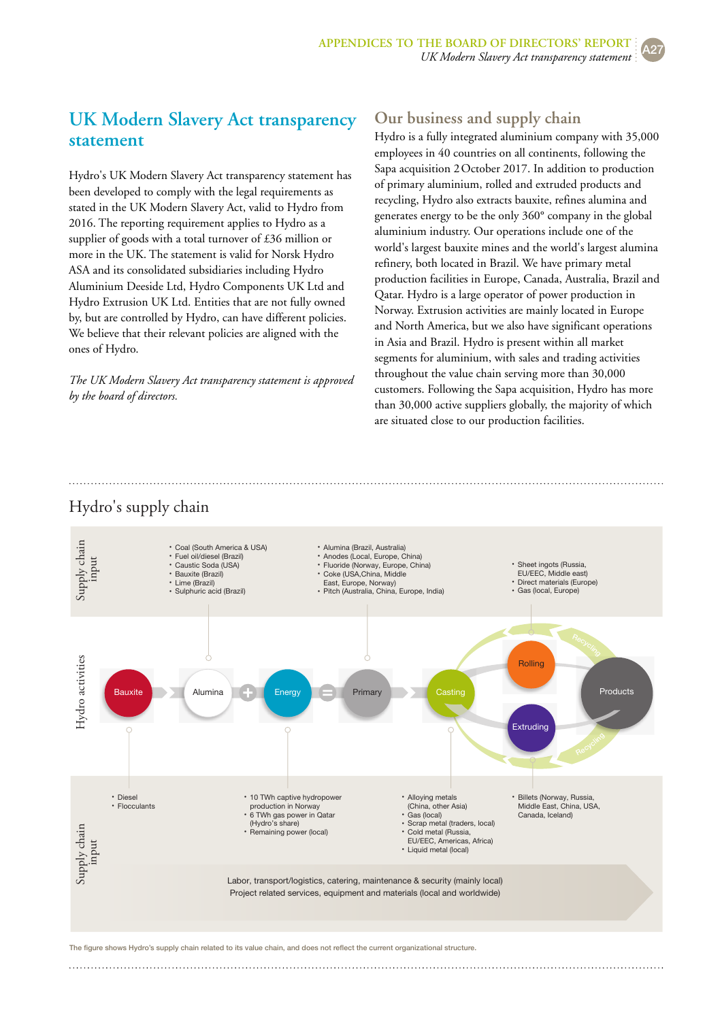# **UK Modern Slavery Act transparency statement**

Hydro's UK Modern Slavery Act transparency statement has been developed to comply with the legal requirements as stated in the UK Modern Slavery Act, valid to Hydro from 2016. The reporting requirement applies to Hydro as a supplier of goods with a total turnover of £36 million or more in the UK. The statement is valid for Norsk Hydro ASA and its consolidated subsidiaries including Hydro Aluminium Deeside Ltd, Hydro Components UK Ltd and Hydro Extrusion UK Ltd. Entities that are not fully owned by, but are controlled by Hydro, can have different policies. We believe that their relevant policies are aligned with the ones of Hydro.

*The UK Modern Slavery Act transparency statement is approved by the board of directors.*

### **Our business and supply chain**

Hydro is a fully integrated aluminium company with 35,000 employees in 40 countries on all continents, following the Sapa acquisition 2October 2017. In addition to production of primary aluminium, rolled and extruded products and recycling, Hydro also extracts bauxite, refines alumina and generates energy to be the only 360° company in the global aluminium industry. Our operations include one of the world's largest bauxite mines and the world's largest alumina refinery, both located in Brazil. We have primary metal production facilities in Europe, Canada, Australia, Brazil and Qatar. Hydro is a large operator of power production in Norway. Extrusion activities are mainly located in Europe and North America, but we also have significant operations in Asia and Brazil. Hydro is present within all market segments for aluminium, with sales and trading activities throughout the value chain serving more than 30,000 customers. Following the Sapa acquisition, Hydro has more than 30,000 active suppliers globally, the majority of which are situated close to our production facilities.

#### Hydro's supply chain



The figure shows Hydro's supply chain related to its value chain, and does not reflect the current organizational structure.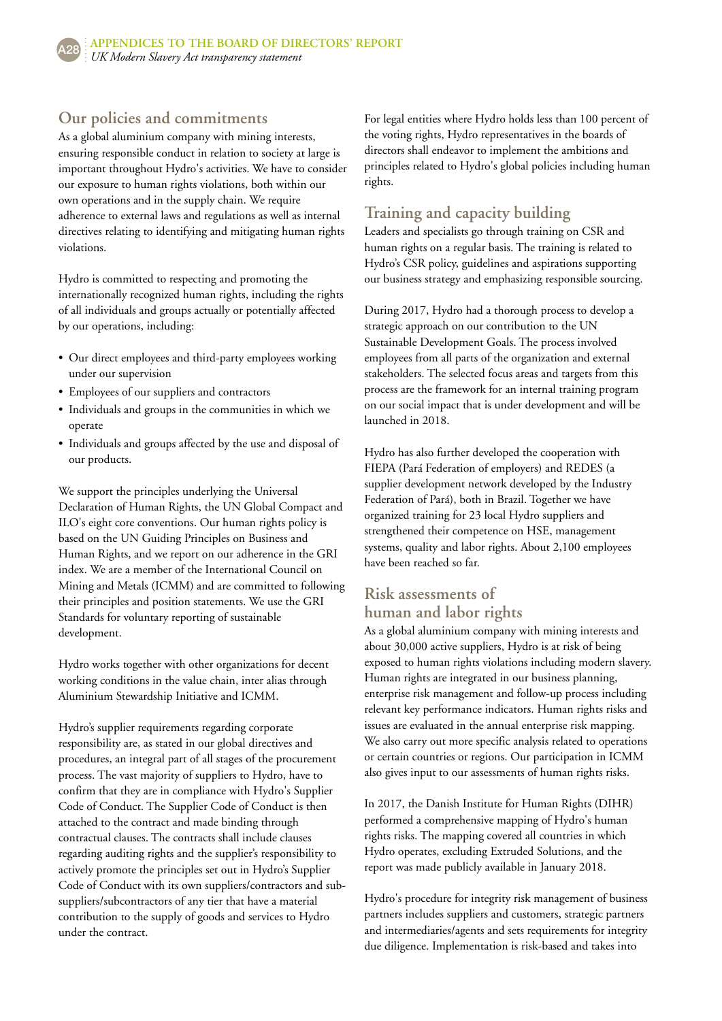## **Our policies and commitments**

As a global aluminium company with mining interests, ensuring responsible conduct in relation to society at large is important throughout Hydro's activities. We have to consider our exposure to human rights violations, both within our own operations and in the supply chain. We require adherence to external laws and regulations as well as internal directives relating to identifying and mitigating human rights violations.

Hydro is committed to respecting and promoting the internationally recognized human rights, including the rights of all individuals and groups actually or potentially affected by our operations, including:

- Our direct employees and third-party employees working under our supervision
- Employees of our suppliers and contractors
- Individuals and groups in the communities in which we operate
- Individuals and groups affected by the use and disposal of our products.

We support the principles underlying the Universal Declaration of Human Rights, the UN Global Compact and ILO's eight core conventions. Our human rights policy is based on the UN Guiding Principles on Business and Human Rights, and we report on our adherence in the GRI index. We are a member of the International Council on Mining and Metals (ICMM) and are committed to following their principles and position statements. We use the GRI Standards for voluntary reporting of sustainable development.

Hydro works together with other organizations for decent working conditions in the value chain, inter alias through Aluminium Stewardship Initiative and ICMM.

Hydro's supplier requirements regarding corporate responsibility are, as stated in our global directives and procedures, an integral part of all stages of the procurement process. The vast majority of suppliers to Hydro, have to confirm that they are in compliance with Hydro's Supplier Code of Conduct. The Supplier Code of Conduct is then attached to the contract and made binding through contractual clauses. The contracts shall include clauses regarding auditing rights and the supplier's responsibility to actively promote the principles set out in Hydro's Supplier Code of Conduct with its own suppliers/contractors and subsuppliers/subcontractors of any tier that have a material contribution to the supply of goods and services to Hydro under the contract.

For legal entities where Hydro holds less than 100 percent of the voting rights, Hydro representatives in the boards of directors shall endeavor to implement the ambitions and principles related to Hydro's global policies including human rights.

#### **Training and capacity building**

Leaders and specialists go through training on CSR and human rights on a regular basis. The training is related to Hydro's CSR policy, guidelines and aspirations supporting our business strategy and emphasizing responsible sourcing.

During 2017, Hydro had a thorough process to develop a strategic approach on our contribution to the UN Sustainable Development Goals. The process involved employees from all parts of the organization and external stakeholders. The selected focus areas and targets from this process are the framework for an internal training program on our social impact that is under development and will be launched in 2018.

Hydro has also further developed the cooperation with FIEPA (Pará Federation of employers) and REDES (a supplier development network developed by the Industry Federation of Pará), both in Brazil. Together we have organized training for 23 local Hydro suppliers and strengthened their competence on HSE, management systems, quality and labor rights. About 2,100 employees have been reached so far.

#### **Risk assessments of human and labor rights**

As a global aluminium company with mining interests and about 30,000 active suppliers, Hydro is at risk of being exposed to human rights violations including modern slavery. Human rights are integrated in our business planning, enterprise risk management and follow-up process including relevant key performance indicators. Human rights risks and issues are evaluated in the annual enterprise risk mapping. We also carry out more specific analysis related to operations or certain countries or regions. Our participation in ICMM also gives input to our assessments of human rights risks.

In 2017, the Danish Institute for Human Rights (DIHR) performed a comprehensive mapping of Hydro's human rights risks. The mapping covered all countries in which Hydro operates, excluding Extruded Solutions, and the report was made publicly available in January 2018.

Hydro's procedure for integrity risk management of business partners includes suppliers and customers, strategic partners and intermediaries/agents and sets requirements for integrity due diligence. Implementation is risk-based and takes into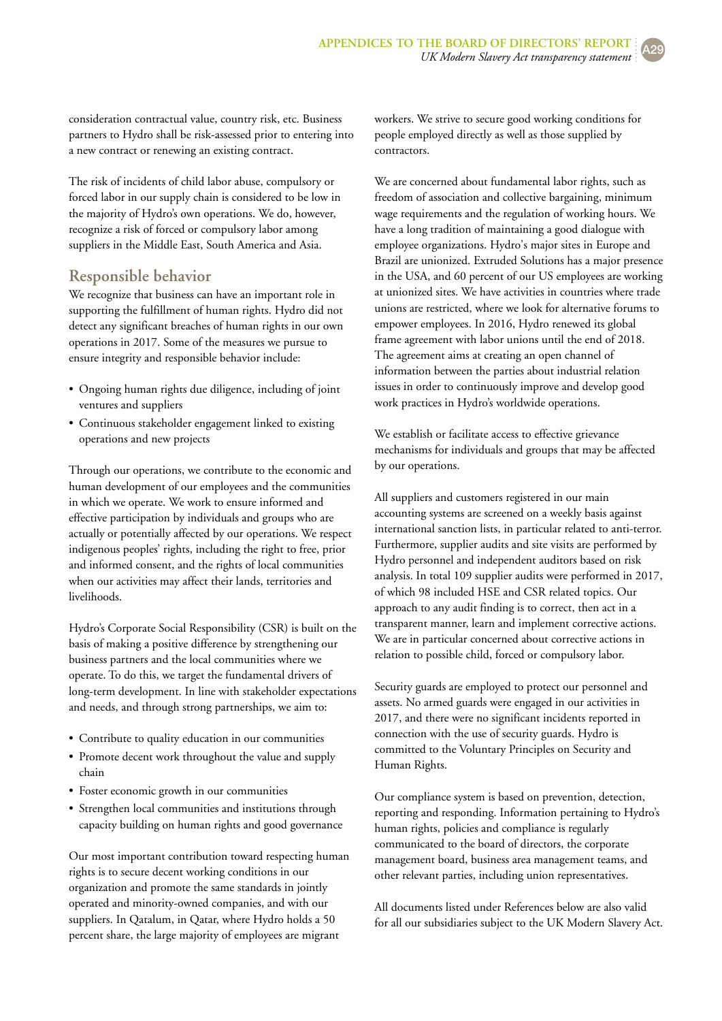consideration contractual value, country risk, etc. Business partners to Hydro shall be risk-assessed prior to entering into a new contract or renewing an existing contract.

The risk of incidents of child labor abuse, compulsory or forced labor in our supply chain is considered to be low in the majority of Hydro's own operations. We do, however, recognize a risk of forced or compulsory labor among suppliers in the Middle East, South America and Asia.

#### **Responsible behavior**

We recognize that business can have an important role in supporting the fulfillment of human rights. Hydro did not detect any significant breaches of human rights in our own operations in 2017. Some of the measures we pursue to ensure integrity and responsible behavior include:

- Ongoing human rights due diligence, including of joint ventures and suppliers
- Continuous stakeholder engagement linked to existing operations and new projects

Through our operations, we contribute to the economic and human development of our employees and the communities in which we operate. We work to ensure informed and effective participation by individuals and groups who are actually or potentially affected by our operations. We respect indigenous peoples' rights, including the right to free, prior and informed consent, and the rights of local communities when our activities may affect their lands, territories and livelihoods.

Hydro's Corporate Social Responsibility (CSR) is built on the basis of making a positive difference by strengthening our business partners and the local communities where we operate. To do this, we target the fundamental drivers of long-term development. In line with stakeholder expectations and needs, and through strong partnerships, we aim to:

- Contribute to quality education in our communities
- Promote decent work throughout the value and supply chain
- Foster economic growth in our communities
- Strengthen local communities and institutions through capacity building on human rights and good governance

Our most important contribution toward respecting human rights is to secure decent working conditions in our organization and promote the same standards in jointly operated and minority-owned companies, and with our suppliers. In Qatalum, in Qatar, where Hydro holds a 50 percent share, the large majority of employees are migrant

workers. We strive to secure good working conditions for people employed directly as well as those supplied by contractors.

We are concerned about fundamental labor rights, such as freedom of association and collective bargaining, minimum wage requirements and the regulation of working hours. We have a long tradition of maintaining a good dialogue with employee organizations. Hydro's major sites in Europe and Brazil are unionized. Extruded Solutions has a major presence in the USA, and 60 percent of our US employees are working at unionized sites. We have activities in countries where trade unions are restricted, where we look for alternative forums to empower employees. In 2016, Hydro renewed its global frame agreement with labor unions until the end of 2018. The agreement aims at creating an open channel of information between the parties about industrial relation issues in order to continuously improve and develop good work practices in Hydro's worldwide operations.

We establish or facilitate access to effective grievance mechanisms for individuals and groups that may be affected by our operations.

All suppliers and customers registered in our main accounting systems are screened on a weekly basis against international sanction lists, in particular related to anti-terror. Furthermore, supplier audits and site visits are performed by Hydro personnel and independent auditors based on risk analysis. In total 109 supplier audits were performed in 2017, of which 98 included HSE and CSR related topics. Our approach to any audit finding is to correct, then act in a transparent manner, learn and implement corrective actions. We are in particular concerned about corrective actions in relation to possible child, forced or compulsory labor.

Security guards are employed to protect our personnel and assets. No armed guards were engaged in our activities in 2017, and there were no significant incidents reported in connection with the use of security guards. Hydro is committed to the Voluntary Principles on Security and Human Rights.

Our compliance system is based on prevention, detection, reporting and responding. Information pertaining to Hydro's human rights, policies and compliance is regularly communicated to the board of directors, the corporate management board, business area management teams, and other relevant parties, including union representatives.

All documents listed under References below are also valid for all our subsidiaries subject to the UK Modern Slavery Act.